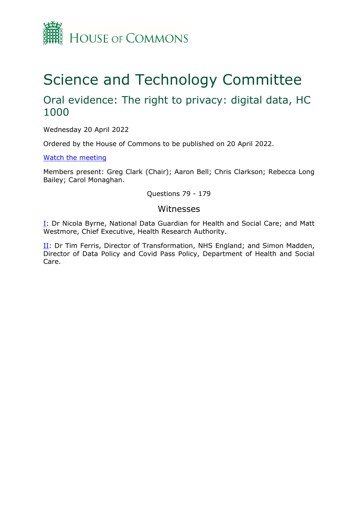

# Science and Technology Committee

## Oral evidence: The right to privacy: digital data, HC 1000

Wednesday 20 April 2022

Ordered by the House of Commons to be published on 20 April 2022.

[Watch](https://parliamentlive.tv/Event/Index/d49fafad-b945-4424-bbba-1cfeafb2145c) [the](https://parliamentlive.tv/Event/Index/d49fafad-b945-4424-bbba-1cfeafb2145c) [meeting](https://parliamentlive.tv/Event/Index/d49fafad-b945-4424-bbba-1cfeafb2145c)

Members present: Greg Clark (Chair); Aaron Bell; Chris Clarkson; Rebecca Long Bailey; Carol Monaghan.

Questions 79 - 179

## Witnesses

[I:](#page-1-0) Dr Nicola Byrne, National Data Guardian for Health and Social Care; and Matt Westmore, Chief Executive, Health Research Authority.

II: Dr Tim Ferris, Director of Transformation, NHS England; and Simon Madden, Director of Data Policy and Covid Pass Policy, Department of Health and Social Care.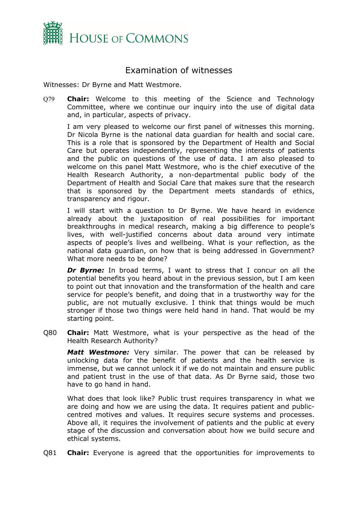

## <span id="page-1-0"></span>Examination of witnesses

Witnesses: Dr Byrne and Matt Westmore.

Q79 **Chair:** Welcome to this meeting of the Science and Technology Committee, where we continue our inquiry into the use of digital data and, in particular, aspects of privacy.

I am very pleased to welcome our first panel of witnesses this morning. Dr Nicola Byrne is the national data guardian for health and social care. This is a role that is sponsored by the Department of Health and Social Care but operates independently, representing the interests of patients and the public on questions of the use of data. I am also pleased to welcome on this panel Matt Westmore, who is the chief executive of the Health Research Authority, a non-departmental public body of the Department of Health and Social Care that makes sure that the research that is sponsored by the Department meets standards of ethics, transparency and rigour.

I will start with a question to Dr Byrne. We have heard in evidence already about the juxtaposition of real possibilities for important breakthroughs in medical research, making a big difference to people's lives, with well-justified concerns about data around very intimate aspects of people's lives and wellbeing. What is your reflection, as the national data guardian, on how that is being addressed in Government? What more needs to be done?

**Dr Byrne:** In broad terms, I want to stress that I concur on all the potential benefits you heard about in the previous session, but I am keen to point out that innovation and the transformation of the health and care service for people's benefit, and doing that in a trustworthy way for the public, are not mutually exclusive. I think that things would be much stronger if those two things were held hand in hand. That would be my starting point.

Q80 **Chair:** Matt Westmore, what is your perspective as the head of the Health Research Authority?

*Matt Westmore:* Very similar. The power that can be released by unlocking data for the benefit of patients and the health service is immense, but we cannot unlock it if we do not maintain and ensure public and patient trust in the use of that data. As Dr Byrne said, those two have to go hand in hand.

What does that look like? Public trust requires transparency in what we are doing and how we are using the data. It requires patient and publiccentred motives and values. It requires secure systems and processes. Above all, it requires the involvement of patients and the public at every stage of the discussion and conversation about how we build secure and ethical systems.

Q81 **Chair:** Everyone is agreed that the opportunities for improvements to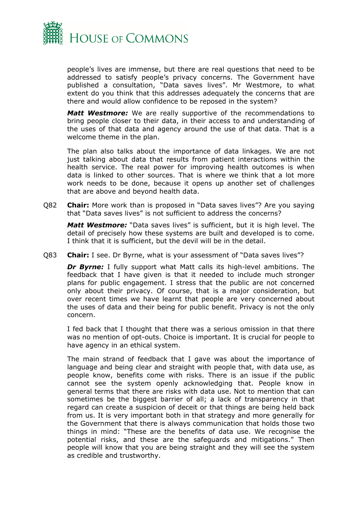

people's lives are immense, but there are real questions that need to be addressed to satisfy people's privacy concerns. The Government have published a consultation, "Data saves lives". Mr Westmore, to what extent do you think that this addresses adequately the concerns that are there and would allow confidence to be reposed in the system?

*Matt Westmore:* We are really supportive of the recommendations to bring people closer to their data, in their access to and understanding of the uses of that data and agency around the use of that data. That is a welcome theme in the plan.

The plan also talks about the importance of data linkages. We are not just talking about data that results from patient interactions within the health service. The real power for improving health outcomes is when data is linked to other sources. That is where we think that a lot more work needs to be done, because it opens up another set of challenges that are above and beyond health data.

Q82 **Chair:** More work than is proposed in "Data saves lives"? Are you saying that "Data saves lives" is not sufficient to address the concerns?

*Matt Westmore:* "Data saves lives" is sufficient, but it is high level. The detail of precisely how these systems are built and developed is to come. I think that it is sufficient, but the devil will be in the detail.

Q83 **Chair:** I see. Dr Byrne, what is your assessment of "Data saves lives"?

*Dr Byrne:* I fully support what Matt calls its high-level ambitions. The feedback that I have given is that it needed to include much stronger plans for public engagement. I stress that the public are not concerned only about their privacy. Of course, that is a major consideration, but over recent times we have learnt that people are very concerned about the uses of data and their being for public benefit. Privacy is not the only concern.

I fed back that I thought that there was a serious omission in that there was no mention of opt-outs. Choice is important. It is crucial for people to have agency in an ethical system.

The main strand of feedback that I gave was about the importance of language and being clear and straight with people that, with data use, as people know, benefits come with risks. There is an issue if the public cannot see the system openly acknowledging that. People know in general terms that there are risks with data use. Not to mention that can sometimes be the biggest barrier of all; a lack of transparency in that regard can create a suspicion of deceit or that things are being held back from us. It is very important both in that strategy and more generally for the Government that there is always communication that holds those two things in mind: "These are the benefits of data use. We recognise the potential risks, and these are the safeguards and mitigations." Then people will know that you are being straight and they will see the system as credible and trustworthy.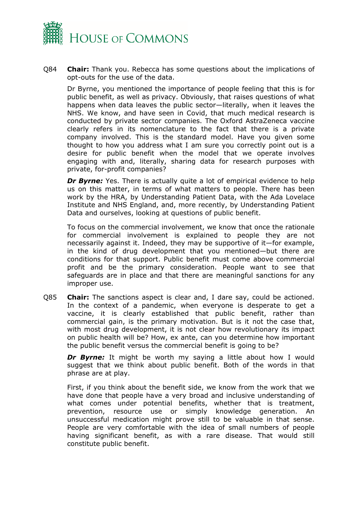

Q84 **Chair:** Thank you. Rebecca has some questions about the implications of opt-outs for the use of the data.

Dr Byrne, you mentioned the importance of people feeling that this is for public benefit, as well as privacy. Obviously, that raises questions of what happens when data leaves the public sector—literally, when it leaves the NHS. We know, and have seen in Covid, that much medical research is conducted by private sector companies. The Oxford AstraZeneca vaccine clearly refers in its nomenclature to the fact that there is a private company involved. This is the standard model. Have you given some thought to how you address what I am sure you correctly point out is a desire for public benefit when the model that we operate involves engaging with and, literally, sharing data for research purposes with private, for-profit companies?

*Dr Byrne:* Yes. There is actually quite a lot of empirical evidence to help us on this matter, in terms of what matters to people. There has been work by the HRA, by Understanding Patient Data, with the Ada Lovelace Institute and NHS England, and, more recently, by Understanding Patient Data and ourselves, looking at questions of public benefit.

To focus on the commercial involvement, we know that once the rationale for commercial involvement is explained to people they are not necessarily against it. Indeed, they may be supportive of it—for example, in the kind of drug development that you mentioned—but there are conditions for that support. Public benefit must come above commercial profit and be the primary consideration. People want to see that safeguards are in place and that there are meaningful sanctions for any improper use.

Q85 **Chair:** The sanctions aspect is clear and, I dare say, could be actioned. In the context of a pandemic, when everyone is desperate to get a vaccine, it is clearly established that public benefit, rather than commercial gain, is the primary motivation. But is it not the case that, with most drug development, it is not clear how revolutionary its impact on public health will be? How, ex ante, can you determine how important the public benefit versus the commercial benefit is going to be?

**Dr Byrne:** It might be worth my saying a little about how I would suggest that we think about public benefit. Both of the words in that phrase are at play.

First, if you think about the benefit side, we know from the work that we have done that people have a very broad and inclusive understanding of what comes under potential benefits, whether that is treatment, prevention, resource use or simply knowledge generation. An unsuccessful medication might prove still to be valuable in that sense. People are very comfortable with the idea of small numbers of people having significant benefit, as with a rare disease. That would still constitute public benefit.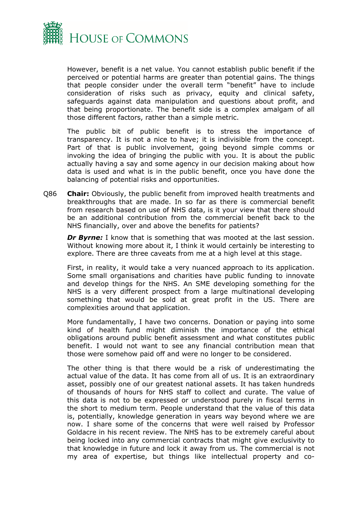

However, benefit is a net value. You cannot establish public benefit if the perceived or potential harms are greater than potential gains. The things that people consider under the overall term "benefit" have to include consideration of risks such as privacy, equity and clinical safety, safeguards against data manipulation and questions about profit, and that being proportionate. The benefit side is a complex amalgam of all those different factors, rather than a simple metric.

The public bit of public benefit is to stress the importance of transparency. It is not a nice to have; it is indivisible from the concept. Part of that is public involvement, going beyond simple comms or invoking the idea of bringing the public with you. It is about the public actually having a say and some agency in our decision making about how data is used and what is in the public benefit, once you have done the balancing of potential risks and opportunities.

Q86 **Chair:** Obviously, the public benefit from improved health treatments and breakthroughs that are made. In so far as there is commercial benefit from research based on use of NHS data, is it your view that there should be an additional contribution from the commercial benefit back to the NHS financially, over and above the benefits for patients?

*Dr Byrne:* I know that is something that was mooted at the last session. Without knowing more about it, I think it would certainly be interesting to explore. There are three caveats from me at a high level at this stage.

First, in reality, it would take a very nuanced approach to its application. Some small organisations and charities have public funding to innovate and develop things for the NHS. An SME developing something for the NHS is a very different prospect from a large multinational developing something that would be sold at great profit in the US. There are complexities around that application.

More fundamentally, I have two concerns. Donation or paying into some kind of health fund might diminish the importance of the ethical obligations around public benefit assessment and what constitutes public benefit. I would not want to see any financial contribution mean that those were somehow paid off and were no longer to be considered.

The other thing is that there would be a risk of underestimating the actual value of the data. It has come from all of us. It is an extraordinary asset, possibly one of our greatest national assets. It has taken hundreds of thousands of hours for NHS staff to collect and curate. The value of this data is not to be expressed or understood purely in fiscal terms in the short to medium term. People understand that the value of this data is, potentially, knowledge generation in years way beyond where we are now. I share some of the concerns that were well raised by Professor Goldacre in his recent review. The NHS has to be extremely careful about being locked into any commercial contracts that might give exclusivity to that knowledge in future and lock it away from us. The commercial is not my area of expertise, but things like intellectual property and co-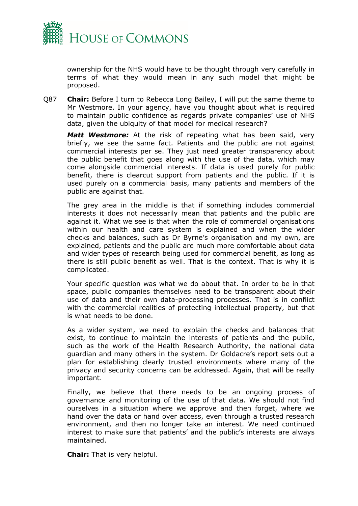

ownership for the NHS would have to be thought through very carefully in terms of what they would mean in any such model that might be proposed.

Q87 **Chair:** Before I turn to Rebecca Long Bailey, I will put the same theme to Mr Westmore. In your agency, have you thought about what is required to maintain public confidence as regards private companies' use of NHS data, given the ubiquity of that model for medical research?

*Matt Westmore:* At the risk of repeating what has been said, very briefly, we see the same fact. Patients and the public are not against commercial interests per se. They just need greater transparency about the public benefit that goes along with the use of the data, which may come alongside commercial interests. If data is used purely for public benefit, there is clearcut support from patients and the public. If it is used purely on a commercial basis, many patients and members of the public are against that.

The grey area in the middle is that if something includes commercial interests it does not necessarily mean that patients and the public are against it. What we see is that when the role of commercial organisations within our health and care system is explained and when the wider checks and balances, such as Dr Byrne's organisation and my own, are explained, patients and the public are much more comfortable about data and wider types of research being used for commercial benefit, as long as there is still public benefit as well. That is the context. That is why it is complicated.

Your specific question was what we do about that. In order to be in that space, public companies themselves need to be transparent about their use of data and their own data-processing processes. That is in conflict with the commercial realities of protecting intellectual property, but that is what needs to be done.

As a wider system, we need to explain the checks and balances that exist, to continue to maintain the interests of patients and the public, such as the work of the Health Research Authority, the national data guardian and many others in the system. Dr Goldacre's report sets out a plan for establishing clearly trusted environments where many of the privacy and security concerns can be addressed. Again, that will be really important.

Finally, we believe that there needs to be an ongoing process of governance and monitoring of the use of that data. We should not find ourselves in a situation where we approve and then forget, where we hand over the data or hand over access, even through a trusted research environment, and then no longer take an interest. We need continued interest to make sure that patients' and the public's interests are always maintained.

**Chair:** That is very helpful.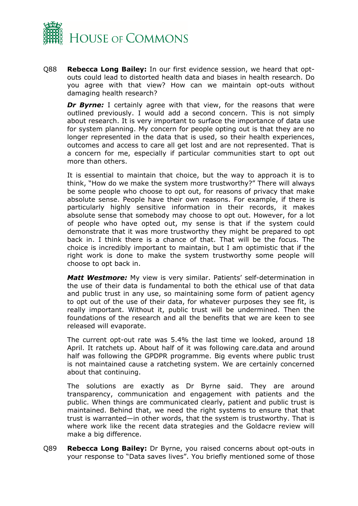

Q88 **Rebecca Long Bailey:** In our first evidence session, we heard that optouts could lead to distorted health data and biases in health research. Do you agree with that view? How can we maintain opt-outs without damaging health research?

**Dr Byrne:** I certainly agree with that view, for the reasons that were outlined previously. I would add a second concern. This is not simply about research. It is very important to surface the importance of data use for system planning. My concern for people opting out is that they are no longer represented in the data that is used, so their health experiences, outcomes and access to care all get lost and are not represented. That is a concern for me, especially if particular communities start to opt out more than others.

It is essential to maintain that choice, but the way to approach it is to think, "How do we make the system more trustworthy?" There will always be some people who choose to opt out, for reasons of privacy that make absolute sense. People have their own reasons. For example, if there is particularly highly sensitive information in their records, it makes absolute sense that somebody may choose to opt out. However, for a lot of people who have opted out, my sense is that if the system could demonstrate that it was more trustworthy they might be prepared to opt back in. I think there is a chance of that. That will be the focus. The choice is incredibly important to maintain, but I am optimistic that if the right work is done to make the system trustworthy some people will choose to opt back in.

*Matt Westmore:* My view is very similar. Patients' self-determination in the use of their data is fundamental to both the ethical use of that data and public trust in any use, so maintaining some form of patient agency to opt out of the use of their data, for whatever purposes they see fit, is really important. Without it, public trust will be undermined. Then the foundations of the research and all the benefits that we are keen to see released will evaporate.

The current opt-out rate was 5.4% the last time we looked, around 18 April. It ratchets up. About half of it was following care.data and around half was following the GPDPR programme. Big events where public trust is not maintained cause a ratcheting system. We are certainly concerned about that continuing.

The solutions are exactly as Dr Byrne said. They are around transparency, communication and engagement with patients and the public. When things are communicated clearly, patient and public trust is maintained. Behind that, we need the right systems to ensure that that trust is warranted—in other words, that the system is trustworthy. That is where work like the recent data strategies and the Goldacre review will make a big difference.

Q89 **Rebecca Long Bailey:** Dr Byrne, you raised concerns about opt-outs in your response to "Data saves lives". You briefly mentioned some of those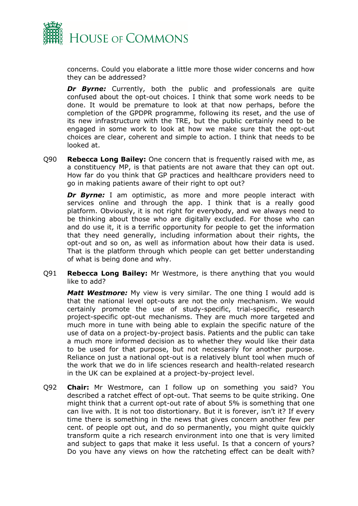

concerns. Could you elaborate a little more those wider concerns and how they can be addressed?

**Dr Byrne:** Currently, both the public and professionals are quite confused about the opt-out choices. I think that some work needs to be done. It would be premature to look at that now perhaps, before the completion of the GPDPR programme, following its reset, and the use of its new infrastructure with the TRE, but the public certainly need to be engaged in some work to look at how we make sure that the opt-out choices are clear, coherent and simple to action. I think that needs to be looked at.

Q90 **Rebecca Long Bailey:** One concern that is frequently raised with me, as a constituency MP, is that patients are not aware that they can opt out. How far do you think that GP practices and healthcare providers need to go in making patients aware of their right to opt out?

**Dr Byrne:** I am optimistic, as more and more people interact with services online and through the app. I think that is a really good platform. Obviously, it is not right for everybody, and we always need to be thinking about those who are digitally excluded. For those who can and do use it, it is a terrific opportunity for people to get the information that they need generally, including information about their rights, the opt-out and so on, as well as information about how their data is used. That is the platform through which people can get better understanding of what is being done and why.

Q91 **Rebecca Long Bailey:** Mr Westmore, is there anything that you would like to add?

*Matt Westmore:* My view is very similar. The one thing I would add is that the national level opt-outs are not the only mechanism. We would certainly promote the use of study-specific, trial-specific, research project-specific opt-out mechanisms. They are much more targeted and much more in tune with being able to explain the specific nature of the use of data on a project-by-project basis. Patients and the public can take a much more informed decision as to whether they would like their data to be used for that purpose, but not necessarily for another purpose. Reliance on just a national opt-out is a relatively blunt tool when much of the work that we do in life sciences research and health-related research in the UK can be explained at a project-by-project level.

Q92 **Chair:** Mr Westmore, can I follow up on something you said? You described a ratchet effect of opt-out. That seems to be quite striking. One might think that a current opt-out rate of about 5% is something that one can live with. It is not too distortionary. But it is forever, isn't it? If every time there is something in the news that gives concern another few per cent. of people opt out, and do so permanently, you might quite quickly transform quite a rich research environment into one that is very limited and subject to gaps that make it less useful. Is that a concern of yours? Do you have any views on how the ratcheting effect can be dealt with?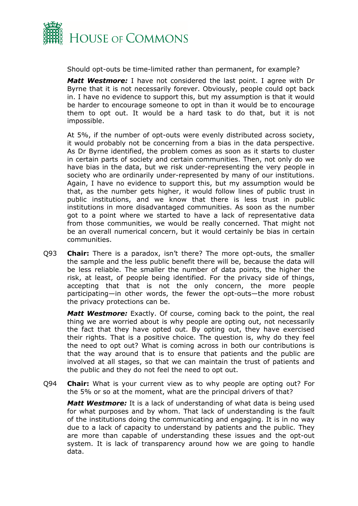

Should opt-outs be time-limited rather than permanent, for example?

*Matt Westmore:* I have not considered the last point. I agree with Dr Byrne that it is not necessarily forever. Obviously, people could opt back in. I have no evidence to support this, but my assumption is that it would be harder to encourage someone to opt in than it would be to encourage them to opt out. It would be a hard task to do that, but it is not impossible.

At 5%, if the number of opt-outs were evenly distributed across society, it would probably not be concerning from a bias in the data perspective. As Dr Byrne identified, the problem comes as soon as it starts to cluster in certain parts of society and certain communities. Then, not only do we have bias in the data, but we risk under-representing the very people in society who are ordinarily under-represented by many of our institutions. Again, I have no evidence to support this, but my assumption would be that, as the number gets higher, it would follow lines of public trust in public institutions, and we know that there is less trust in public institutions in more disadvantaged communities. As soon as the number got to a point where we started to have a lack of representative data from those communities, we would be really concerned. That might not be an overall numerical concern, but it would certainly be bias in certain communities.

Q93 **Chair:** There is a paradox, isn't there? The more opt-outs, the smaller the sample and the less public benefit there will be, because the data will be less reliable. The smaller the number of data points, the higher the risk, at least, of people being identified. For the privacy side of things, accepting that that is not the only concern, the more people participating—in other words, the fewer the opt-outs—the more robust the privacy protections can be.

*Matt Westmore:* Exactly. Of course, coming back to the point, the real thing we are worried about is why people are opting out, not necessarily the fact that they have opted out. By opting out, they have exercised their rights. That is a positive choice. The question is, why do they feel the need to opt out? What is coming across in both our contributions is that the way around that is to ensure that patients and the public are involved at all stages, so that we can maintain the trust of patients and the public and they do not feel the need to opt out.

Q94 **Chair:** What is your current view as to why people are opting out? For the 5% or so at the moment, what are the principal drivers of that?

*Matt Westmore:* It is a lack of understanding of what data is being used for what purposes and by whom. That lack of understanding is the fault of the institutions doing the communicating and engaging. It is in no way due to a lack of capacity to understand by patients and the public. They are more than capable of understanding these issues and the opt-out system. It is lack of transparency around how we are going to handle data.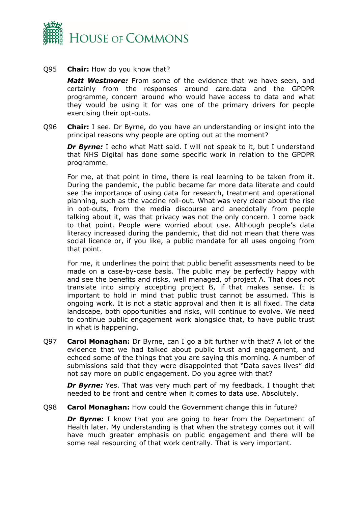

## Q95 **Chair:** How do you know that?

*Matt Westmore:* From some of the evidence that we have seen, and certainly from the responses around care.data and the GPDPR programme, concern around who would have access to data and what they would be using it for was one of the primary drivers for people exercising their opt-outs.

Q96 **Chair:** I see. Dr Byrne, do you have an understanding or insight into the principal reasons why people are opting out at the moment?

**Dr Byrne:** I echo what Matt said. I will not speak to it, but I understand that NHS Digital has done some specific work in relation to the GPDPR programme.

For me, at that point in time, there is real learning to be taken from it. During the pandemic, the public became far more data literate and could see the importance of using data for research, treatment and operational planning, such as the vaccine roll-out. What was very clear about the rise in opt-outs, from the media discourse and anecdotally from people talking about it, was that privacy was not the only concern. I come back to that point. People were worried about use. Although people's data literacy increased during the pandemic, that did not mean that there was social licence or, if you like, a public mandate for all uses ongoing from that point.

For me, it underlines the point that public benefit assessments need to be made on a case-by-case basis. The public may be perfectly happy with and see the benefits and risks, well managed, of project A. That does not translate into simply accepting project B, if that makes sense. It is important to hold in mind that public trust cannot be assumed. This is ongoing work. It is not a static approval and then it is all fixed. The data landscape, both opportunities and risks, will continue to evolve. We need to continue public engagement work alongside that, to have public trust in what is happening.

Q97 **Carol Monaghan:** Dr Byrne, can I go a bit further with that? A lot of the evidence that we had talked about public trust and engagement, and echoed some of the things that you are saying this morning. A number of submissions said that they were disappointed that "Data saves lives" did not say more on public engagement. Do you agree with that?

*Dr Byrne:* Yes. That was very much part of my feedback. I thought that needed to be front and centre when it comes to data use. Absolutely.

Q98 **Carol Monaghan:** How could the Government change this in future?

**Dr Byrne:** I know that you are going to hear from the Department of Health later. My understanding is that when the strategy comes out it will have much greater emphasis on public engagement and there will be some real resourcing of that work centrally. That is very important.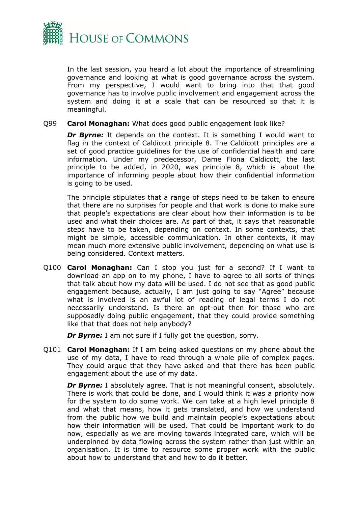

In the last session, you heard a lot about the importance of streamlining governance and looking at what is good governance across the system. From my perspective, I would want to bring into that that good governance has to involve public involvement and engagement across the system and doing it at a scale that can be resourced so that it is meaningful.

## Q99 **Carol Monaghan:** What does good public engagement look like?

**Dr Byrne:** It depends on the context. It is something I would want to flag in the context of Caldicott principle 8. The Caldicott principles are a set of good practice guidelines for the use of confidential health and care information. Under my predecessor, Dame Fiona Caldicott, the last principle to be added, in 2020, was principle 8, which is about the importance of informing people about how their confidential information is going to be used.

The principle stipulates that a range of steps need to be taken to ensure that there are no surprises for people and that work is done to make sure that people's expectations are clear about how their information is to be used and what their choices are. As part of that, it says that reasonable steps have to be taken, depending on context. In some contexts, that might be simple, accessible communication. In other contexts, it may mean much more extensive public involvement, depending on what use is being considered. Context matters.

Q100 **Carol Monaghan:** Can I stop you just for a second? If I want to download an app on to my phone, I have to agree to all sorts of things that talk about how my data will be used. I do not see that as good public engagement because, actually, I am just going to say "Agree" because what is involved is an awful lot of reading of legal terms I do not necessarily understand. Is there an opt-out then for those who are supposedly doing public engagement, that they could provide something like that that does not help anybody?

*Dr Byrne:* I am not sure if I fully got the question, sorry.

Q101 **Carol Monaghan:** If I am being asked questions on my phone about the use of my data, I have to read through a whole pile of complex pages. They could argue that they have asked and that there has been public engagement about the use of my data.

*Dr Byrne:* I absolutely agree. That is not meaningful consent, absolutely. There is work that could be done, and I would think it was a priority now for the system to do some work. We can take at a high level principle 8 and what that means, how it gets translated, and how we understand from the public how we build and maintain people's expectations about how their information will be used. That could be important work to do now, especially as we are moving towards integrated care, which will be underpinned by data flowing across the system rather than just within an organisation. It is time to resource some proper work with the public about how to understand that and how to do it better.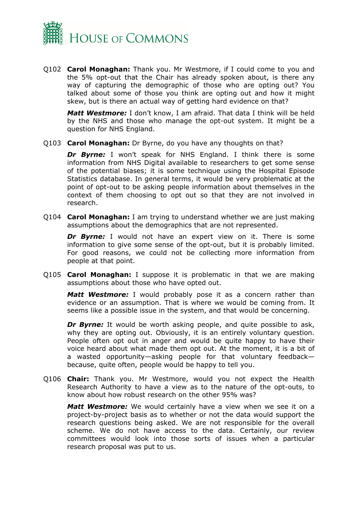

Q102 **Carol Monaghan:** Thank you. Mr Westmore, if I could come to you and the 5% opt-out that the Chair has already spoken about, is there any way of capturing the demographic of those who are opting out? You talked about some of those you think are opting out and how it might skew, but is there an actual way of getting hard evidence on that?

*Matt Westmore:* I don't know, I am afraid. That data I think will be held by the NHS and those who manage the opt-out system. It might be a question for NHS England.

Q103 **Carol Monaghan:** Dr Byrne, do you have any thoughts on that?

*Dr Byrne:* I won't speak for NHS England. I think there is some information from NHS Digital available to researchers to get some sense of the potential biases; it is some technique using the Hospital Episode Statistics database. In general terms, it would be very problematic at the point of opt-out to be asking people information about themselves in the context of them choosing to opt out so that they are not involved in research.

Q104 **Carol Monaghan:** I am trying to understand whether we are just making assumptions about the demographics that are not represented.

**Dr Byrne:** I would not have an expert view on it. There is some information to give some sense of the opt-out, but it is probably limited. For good reasons, we could not be collecting more information from people at that point.

Q105 **Carol Monaghan:** I suppose it is problematic in that we are making assumptions about those who have opted out.

*Matt Westmore:* I would probably pose it as a concern rather than evidence or an assumption. That is where we would be coming from. It seems like a possible issue in the system, and that would be concerning.

*Dr Byrne:* It would be worth asking people, and quite possible to ask, why they are opting out. Obviously, it is an entirely voluntary question. People often opt out in anger and would be quite happy to have their voice heard about what made them opt out. At the moment, it is a bit of a wasted opportunity—asking people for that voluntary feedback because, quite often, people would be happy to tell you.

Q106 **Chair:** Thank you. Mr Westmore, would you not expect the Health Research Authority to have a view as to the nature of the opt-outs, to know about how robust research on the other 95% was?

*Matt Westmore:* We would certainly have a view when we see it on a project-by-project basis as to whether or not the data would support the research questions being asked. We are not responsible for the overall scheme. We do not have access to the data. Certainly, our review committees would look into those sorts of issues when a particular research proposal was put to us.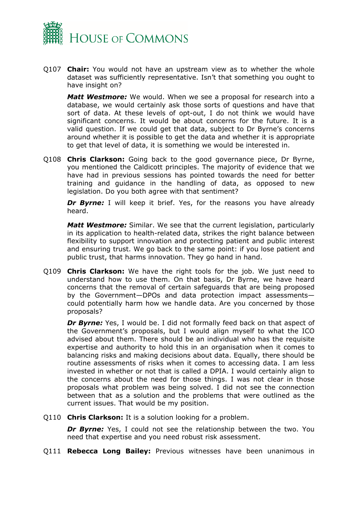

Q107 **Chair:** You would not have an upstream view as to whether the whole dataset was sufficiently representative. Isn't that something you ought to have insight on?

*Matt Westmore:* We would. When we see a proposal for research into a database, we would certainly ask those sorts of questions and have that sort of data. At these levels of opt-out, I do not think we would have significant concerns. It would be about concerns for the future. It is a valid question. If we could get that data, subject to Dr Byrne's concerns around whether it is possible to get the data and whether it is appropriate to get that level of data, it is something we would be interested in.

Q108 **Chris Clarkson:** Going back to the good governance piece, Dr Byrne, you mentioned the Caldicott principles. The majority of evidence that we have had in previous sessions has pointed towards the need for better training and guidance in the handling of data, as opposed to new legislation. Do you both agree with that sentiment?

**Dr Byrne:** I will keep it brief. Yes, for the reasons you have already heard.

*Matt Westmore:* Similar. We see that the current legislation, particularly in its application to health-related data, strikes the right balance between flexibility to support innovation and protecting patient and public interest and ensuring trust. We go back to the same point: if you lose patient and public trust, that harms innovation. They go hand in hand.

Q109 **Chris Clarkson:** We have the right tools for the job. We just need to understand how to use them. On that basis, Dr Byrne, we have heard concerns that the removal of certain safeguards that are being proposed by the Government—DPOs and data protection impact assessments could potentially harm how we handle data. Are you concerned by those proposals?

**Dr Byrne:** Yes, I would be. I did not formally feed back on that aspect of the Government's proposals, but I would align myself to what the ICO advised about them. There should be an individual who has the requisite expertise and authority to hold this in an organisation when it comes to balancing risks and making decisions about data. Equally, there should be routine assessments of risks when it comes to accessing data. I am less invested in whether or not that is called a DPIA. I would certainly align to the concerns about the need for those things. I was not clear in those proposals what problem was being solved. I did not see the connection between that as a solution and the problems that were outlined as the current issues. That would be my position.

Q110 **Chris Clarkson:** It is a solution looking for a problem.

**Dr Byrne:** Yes, I could not see the relationship between the two. You need that expertise and you need robust risk assessment.

Q111 **Rebecca Long Bailey:** Previous witnesses have been unanimous in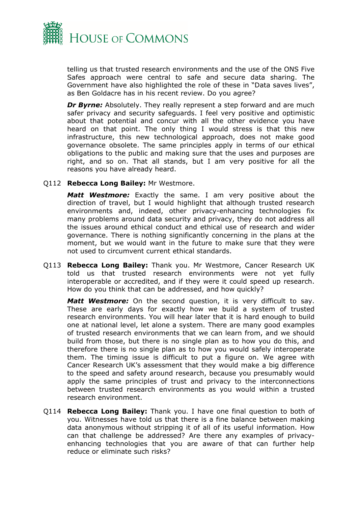

telling us that trusted research environments and the use of the ONS Five Safes approach were central to safe and secure data sharing. The Government have also highlighted the role of these in "Data saves lives", as Ben Goldacre has in his recent review. Do you agree?

**Dr Byrne:** Absolutely. They really represent a step forward and are much safer privacy and security safeguards. I feel very positive and optimistic about that potential and concur with all the other evidence you have heard on that point. The only thing I would stress is that this new infrastructure, this new technological approach, does not make good governance obsolete. The same principles apply in terms of our ethical obligations to the public and making sure that the uses and purposes are right, and so on. That all stands, but I am very positive for all the reasons you have already heard.

Q112 **Rebecca Long Bailey:** Mr Westmore.

*Matt Westmore:* Exactly the same. I am very positive about the direction of travel, but I would highlight that although trusted research environments and, indeed, other privacy-enhancing technologies fix many problems around data security and privacy, they do not address all the issues around ethical conduct and ethical use of research and wider governance. There is nothing significantly concerning in the plans at the moment, but we would want in the future to make sure that they were not used to circumvent current ethical standards.

Q113 **Rebecca Long Bailey:** Thank you. Mr Westmore, Cancer Research UK told us that trusted research environments were not yet fully interoperable or accredited, and if they were it could speed up research. How do you think that can be addressed, and how quickly?

*Matt Westmore:* On the second question, it is very difficult to say. These are early days for exactly how we build a system of trusted research environments. You will hear later that it is hard enough to build one at national level, let alone a system. There are many good examples of trusted research environments that we can learn from, and we should build from those, but there is no single plan as to how you do this, and therefore there is no single plan as to how you would safely interoperate them. The timing issue is difficult to put a figure on. We agree with Cancer Research UK's assessment that they would make a big difference to the speed and safety around research, because you presumably would apply the same principles of trust and privacy to the interconnections between trusted research environments as you would within a trusted research environment.

Q114 **Rebecca Long Bailey:** Thank you. I have one final question to both of you. Witnesses have told us that there is a fine balance between making data anonymous without stripping it of all of its useful information. How can that challenge be addressed? Are there any examples of privacyenhancing technologies that you are aware of that can further help reduce or eliminate such risks?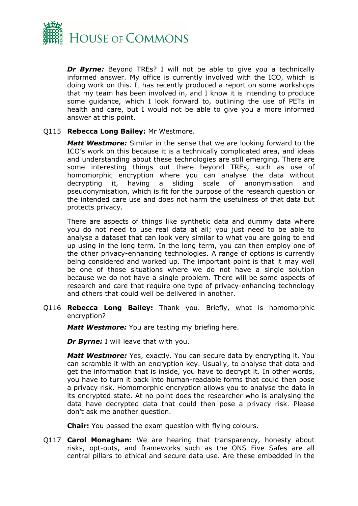

**Dr Byrne:** Beyond TREs? I will not be able to give you a technically informed answer. My office is currently involved with the ICO, which is doing work on this. It has recently produced a report on some workshops that my team has been involved in, and I know it is intending to produce some guidance, which I look forward to, outlining the use of PETs in health and care, but I would not be able to give you a more informed answer at this point.

## Q115 **Rebecca Long Bailey:** Mr Westmore.

*Matt Westmore:* Similar in the sense that we are looking forward to the ICO's work on this because it is a technically complicated area, and ideas and understanding about these technologies are still emerging. There are some interesting things out there beyond TREs, such as use of homomorphic encryption where you can analyse the data without decrypting it, having a sliding scale of anonymisation and pseudonymisation, which is fit for the purpose of the research question or the intended care use and does not harm the usefulness of that data but protects privacy.

There are aspects of things like synthetic data and dummy data where you do not need to use real data at all; you just need to be able to analyse a dataset that can look very similar to what you are going to end up using in the long term. In the long term, you can then employ one of the other privacy-enhancing technologies. A range of options is currently being considered and worked up. The important point is that it may well be one of those situations where we do not have a single solution because we do not have a single problem. There will be some aspects of research and care that require one type of privacy-enhancing technology and others that could well be delivered in another.

Q116 **Rebecca Long Bailey:** Thank you. Briefly, what is homomorphic encryption?

*Matt Westmore:* You are testing my briefing here.

*Dr Byrne:* I will leave that with you.

*Matt Westmore:* Yes, exactly. You can secure data by encrypting it. You can scramble it with an encryption key. Usually, to analyse that data and get the information that is inside, you have to decrypt it. In other words, you have to turn it back into human-readable forms that could then pose a privacy risk. Homomorphic encryption allows you to analyse the data in its encrypted state. At no point does the researcher who is analysing the data have decrypted data that could then pose a privacy risk. Please don't ask me another question.

**Chair:** You passed the exam question with flying colours.

Q117 **Carol Monaghan:** We are hearing that transparency, honesty about risks, opt-outs, and frameworks such as the ONS Five Safes are all central pillars to ethical and secure data use. Are these embedded in the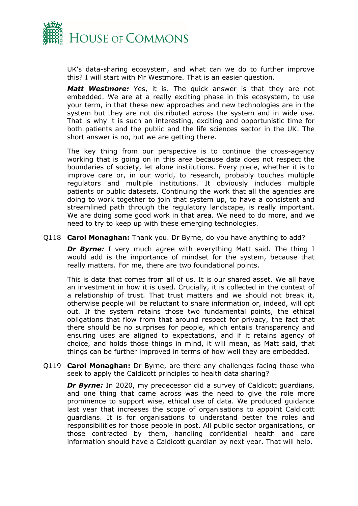

UK's data-sharing ecosystem, and what can we do to further improve this? I will start with Mr Westmore. That is an easier question.

*Matt Westmore:* Yes, it is. The quick answer is that they are not embedded. We are at a really exciting phase in this ecosystem, to use your term, in that these new approaches and new technologies are in the system but they are not distributed across the system and in wide use. That is why it is such an interesting, exciting and opportunistic time for both patients and the public and the life sciences sector in the UK. The short answer is no, but we are getting there.

The key thing from our perspective is to continue the cross-agency working that is going on in this area because data does not respect the boundaries of society, let alone institutions. Every piece, whether it is to improve care or, in our world, to research, probably touches multiple regulators and multiple institutions. It obviously includes multiple patients or public datasets. Continuing the work that all the agencies are doing to work together to join that system up, to have a consistent and streamlined path through the regulatory landscape, is really important. We are doing some good work in that area. We need to do more, and we need to try to keep up with these emerging technologies.

Q118 **Carol Monaghan:** Thank you. Dr Byrne, do you have anything to add?

*Dr Byrne:* I very much agree with everything Matt said. The thing I would add is the importance of mindset for the system, because that really matters. For me, there are two foundational points.

This is data that comes from all of us. It is our shared asset. We all have an investment in how it is used. Crucially, it is collected in the context of a relationship of trust. That trust matters and we should not break it, otherwise people will be reluctant to share information or, indeed, will opt out. If the system retains those two fundamental points, the ethical obligations that flow from that around respect for privacy, the fact that there should be no surprises for people, which entails transparency and ensuring uses are aligned to expectations, and if it retains agency of choice, and holds those things in mind, it will mean, as Matt said, that things can be further improved in terms of how well they are embedded.

Q119 **Carol Monaghan:** Dr Byrne, are there any challenges facing those who seek to apply the Caldicott principles to health data sharing?

*Dr Byrne:* In 2020, my predecessor did a survey of Caldicott guardians, and one thing that came across was the need to give the role more prominence to support wise, ethical use of data. We produced guidance last year that increases the scope of organisations to appoint Caldicott guardians. It is for organisations to understand better the roles and responsibilities for those people in post. All public sector organisations, or those contracted by them, handling confidential health and care information should have a Caldicott guardian by next year. That will help.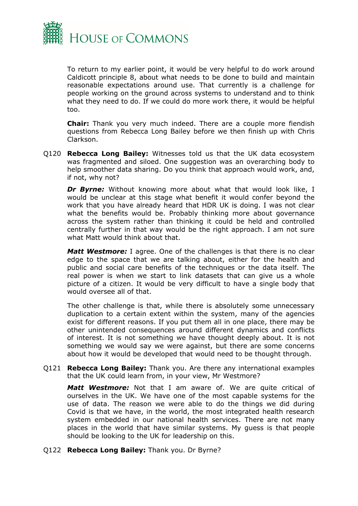

To return to my earlier point, it would be very helpful to do work around Caldicott principle 8, about what needs to be done to build and maintain reasonable expectations around use. That currently is a challenge for people working on the ground across systems to understand and to think what they need to do. If we could do more work there, it would be helpful too.

**Chair:** Thank you very much indeed. There are a couple more fiendish questions from Rebecca Long Bailey before we then finish up with Chris Clarkson.

Q120 **Rebecca Long Bailey:** Witnesses told us that the UK data ecosystem was fragmented and siloed. One suggestion was an overarching body to help smoother data sharing. Do you think that approach would work, and, if not, why not?

**Dr Byrne:** Without knowing more about what that would look like, I would be unclear at this stage what benefit it would confer beyond the work that you have already heard that HDR UK is doing. I was not clear what the benefits would be. Probably thinking more about governance across the system rather than thinking it could be held and controlled centrally further in that way would be the right approach. I am not sure what Matt would think about that.

*Matt Westmore:* I agree. One of the challenges is that there is no clear edge to the space that we are talking about, either for the health and public and social care benefits of the techniques or the data itself. The real power is when we start to link datasets that can give us a whole picture of a citizen. It would be very difficult to have a single body that would oversee all of that.

The other challenge is that, while there is absolutely some unnecessary duplication to a certain extent within the system, many of the agencies exist for different reasons. If you put them all in one place, there may be other unintended consequences around different dynamics and conflicts of interest. It is not something we have thought deeply about. It is not something we would say we were against, but there are some concerns about how it would be developed that would need to be thought through.

Q121 **Rebecca Long Bailey:** Thank you. Are there any international examples that the UK could learn from, in your view, Mr Westmore?

*Matt Westmore:* Not that I am aware of. We are quite critical of ourselves in the UK. We have one of the most capable systems for the use of data. The reason we were able to do the things we did during Covid is that we have, in the world, the most integrated health research system embedded in our national health services. There are not many places in the world that have similar systems. My guess is that people should be looking to the UK for leadership on this.

Q122 **Rebecca Long Bailey:** Thank you. Dr Byrne?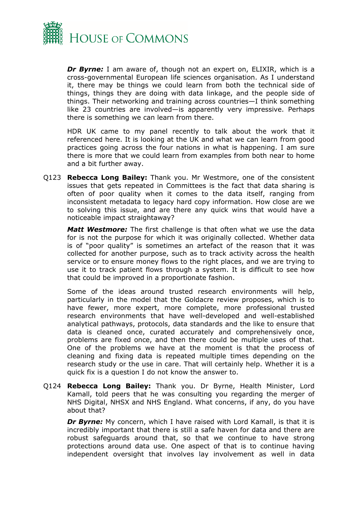

*Dr Byrne:* I am aware of, though not an expert on, ELIXIR, which is a cross-governmental European life sciences organisation. As I understand it, there may be things we could learn from both the technical side of things, things they are doing with data linkage, and the people side of things. Their networking and training across countries—I think something like 23 countries are involved—is apparently very impressive. Perhaps there is something we can learn from there.

HDR UK came to my panel recently to talk about the work that it referenced here. It is looking at the UK and what we can learn from good practices going across the four nations in what is happening. I am sure there is more that we could learn from examples from both near to home and a bit further away.

Q123 **Rebecca Long Bailey:** Thank you. Mr Westmore, one of the consistent issues that gets repeated in Committees is the fact that data sharing is often of poor quality when it comes to the data itself, ranging from inconsistent metadata to legacy hard copy information. How close are we to solving this issue, and are there any quick wins that would have a noticeable impact straightaway?

*Matt Westmore:* The first challenge is that often what we use the data for is not the purpose for which it was originally collected. Whether data is of "poor quality" is sometimes an artefact of the reason that it was collected for another purpose, such as to track activity across the health service or to ensure money flows to the right places, and we are trying to use it to track patient flows through a system. It is difficult to see how that could be improved in a proportionate fashion.

Some of the ideas around trusted research environments will help, particularly in the model that the Goldacre review proposes, which is to have fewer, more expert, more complete, more professional trusted research environments that have well-developed and well-established analytical pathways, protocols, data standards and the like to ensure that data is cleaned once, curated accurately and comprehensively once, problems are fixed once, and then there could be multiple uses of that. One of the problems we have at the moment is that the process of cleaning and fixing data is repeated multiple times depending on the research study or the use in care. That will certainly help. Whether it is a quick fix is a question I do not know the answer to.

Q124 **Rebecca Long Bailey:** Thank you. Dr Byrne, Health Minister, Lord Kamall, told peers that he was consulting you regarding the merger of NHS Digital, NHSX and NHS England. What concerns, if any, do you have about that?

**Dr Byrne:** My concern, which I have raised with Lord Kamall, is that it is incredibly important that there is still a safe haven for data and there are robust safeguards around that, so that we continue to have strong protections around data use. One aspect of that is to continue having independent oversight that involves lay involvement as well in data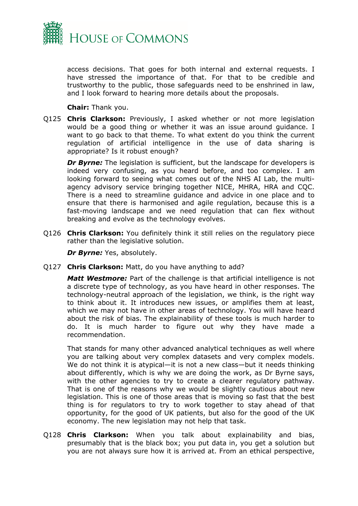

access decisions. That goes for both internal and external requests. I have stressed the importance of that. For that to be credible and trustworthy to the public, those safeguards need to be enshrined in law, and I look forward to hearing more details about the proposals.

**Chair:** Thank you.

Q125 **Chris Clarkson:** Previously, I asked whether or not more legislation would be a good thing or whether it was an issue around guidance. I want to go back to that theme. To what extent do you think the current regulation of artificial intelligence in the use of data sharing is appropriate? Is it robust enough?

*Dr Byrne:* The legislation is sufficient, but the landscape for developers is indeed very confusing, as you heard before, and too complex. I am looking forward to seeing what comes out of the NHS AI Lab, the multiagency advisory service bringing together NICE, MHRA, HRA and CQC. There is a need to streamline guidance and advice in one place and to ensure that there is harmonised and agile regulation, because this is a fast-moving landscape and we need regulation that can flex without breaking and evolve as the technology evolves.

Q126 **Chris Clarkson:** You definitely think it still relies on the regulatory piece rather than the legislative solution.

*Dr Byrne:* Yes, absolutely.

Q127 **Chris Clarkson:** Matt, do you have anything to add?

*Matt Westmore:* Part of the challenge is that artificial intelligence is not a discrete type of technology, as you have heard in other responses. The technology-neutral approach of the legislation, we think, is the right way to think about it. It introduces new issues, or amplifies them at least, which we may not have in other areas of technology. You will have heard about the risk of bias. The explainability of these tools is much harder to do. It is much harder to figure out why they have made a recommendation.

That stands for many other advanced analytical techniques as well where you are talking about very complex datasets and very complex models. We do not think it is atypical—it is not a new class—but it needs thinking about differently, which is why we are doing the work, as Dr Byrne says, with the other agencies to try to create a clearer regulatory pathway. That is one of the reasons why we would be slightly cautious about new legislation. This is one of those areas that is moving so fast that the best thing is for regulators to try to work together to stay ahead of that opportunity, for the good of UK patients, but also for the good of the UK economy. The new legislation may not help that task.

Q128 **Chris Clarkson:** When you talk about explainability and bias, presumably that is the black box; you put data in, you get a solution but you are not always sure how it is arrived at. From an ethical perspective,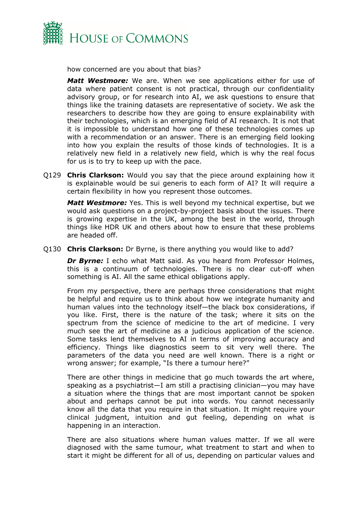

how concerned are you about that bias?

*Matt Westmore:* We are. When we see applications either for use of data where patient consent is not practical, through our confidentiality advisory group, or for research into AI, we ask questions to ensure that things like the training datasets are representative of society. We ask the researchers to describe how they are going to ensure explainability with their technologies, which is an emerging field of AI research. It is not that it is impossible to understand how one of these technologies comes up with a recommendation or an answer. There is an emerging field looking into how you explain the results of those kinds of technologies. It is a relatively new field in a relatively new field, which is why the real focus for us is to try to keep up with the pace.

Q129 **Chris Clarkson:** Would you say that the piece around explaining how it is explainable would be sui generis to each form of AI? It will require a certain flexibility in how you represent those outcomes.

*Matt Westmore:* Yes. This is well beyond my technical expertise, but we would ask questions on a project-by-project basis about the issues. There is growing expertise in the UK, among the best in the world, through things like HDR UK and others about how to ensure that these problems are headed off.

Q130 **Chris Clarkson:** Dr Byrne, is there anything you would like to add?

*Dr Byrne:* I echo what Matt said. As you heard from Professor Holmes, this is a continuum of technologies. There is no clear cut-off when something is AI. All the same ethical obligations apply.

From my perspective, there are perhaps three considerations that might be helpful and require us to think about how we integrate humanity and human values into the technology itself—the black box considerations, if you like. First, there is the nature of the task; where it sits on the spectrum from the science of medicine to the art of medicine. I very much see the art of medicine as a judicious application of the science. Some tasks lend themselves to AI in terms of improving accuracy and efficiency. Things like diagnostics seem to sit very well there. The parameters of the data you need are well known. There is a right or wrong answer; for example, "Is there a tumour here?"

There are other things in medicine that go much towards the art where, speaking as a psychiatrist—I am still a practising clinician—you may have a situation where the things that are most important cannot be spoken about and perhaps cannot be put into words. You cannot necessarily know all the data that you require in that situation. It might require your clinical judgment, intuition and gut feeling, depending on what is happening in an interaction.

There are also situations where human values matter. If we all were diagnosed with the same tumour, what treatment to start and when to start it might be different for all of us, depending on particular values and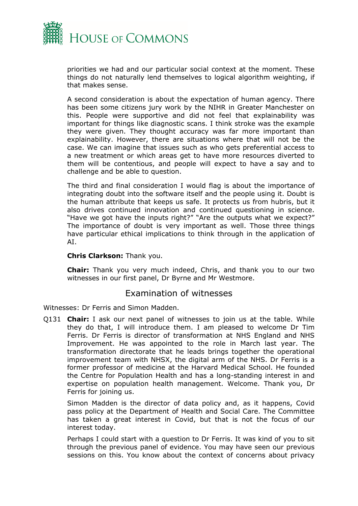

priorities we had and our particular social context at the moment. These things do not naturally lend themselves to logical algorithm weighting, if that makes sense.

A second consideration is about the expectation of human agency. There has been some citizens jury work by the NIHR in Greater Manchester on this. People were supportive and did not feel that explainability was important for things like diagnostic scans. I think stroke was the example they were given. They thought accuracy was far more important than explainability. However, there are situations where that will not be the case. We can imagine that issues such as who gets preferential access to a new treatment or which areas get to have more resources diverted to them will be contentious, and people will expect to have a say and to challenge and be able to question.

The third and final consideration I would flag is about the importance of integrating doubt into the software itself and the people using it. Doubt is the human attribute that keeps us safe. It protects us from hubris, but it also drives continued innovation and continued questioning in science. "Have we got have the inputs right?" "Are the outputs what we expect?" The importance of doubt is very important as well. Those three things have particular ethical implications to think through in the application of AI.

## **Chris Clarkson:** Thank you.

**Chair:** Thank you very much indeed, Chris, and thank you to our two witnesses in our first panel, Dr Byrne and Mr Westmore.

## Examination of witnesses

Witnesses: Dr Ferris and Simon Madden.

Q131 **Chair:** I ask our next panel of witnesses to join us at the table. While they do that, I will introduce them. I am pleased to welcome Dr Tim Ferris. Dr Ferris is director of transformation at NHS England and NHS Improvement. He was appointed to the role in March last year. The transformation directorate that he leads brings together the operational improvement team with NHSX, the digital arm of the NHS. Dr Ferris is a former professor of medicine at the Harvard Medical School. He founded the Centre for Population Health and has a long-standing interest in and expertise on population health management. Welcome. Thank you, Dr Ferris for joining us.

Simon Madden is the director of data policy and, as it happens, Covid pass policy at the Department of Health and Social Care. The Committee has taken a great interest in Covid, but that is not the focus of our interest today.

Perhaps I could start with a question to Dr Ferris. It was kind of you to sit through the previous panel of evidence. You may have seen our previous sessions on this. You know about the context of concerns about privacy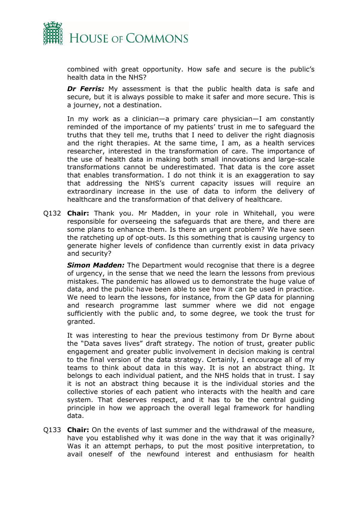

combined with great opportunity. How safe and secure is the public's health data in the NHS?

**Dr Ferris:** My assessment is that the public health data is safe and secure, but it is always possible to make it safer and more secure. This is a journey, not a destination.

In my work as a clinician—a primary care physician—I am constantly reminded of the importance of my patients' trust in me to safeguard the truths that they tell me, truths that I need to deliver the right diagnosis and the right therapies. At the same time, I am, as a health services researcher, interested in the transformation of care. The importance of the use of health data in making both small innovations and large-scale transformations cannot be underestimated. That data is the core asset that enables transformation. I do not think it is an exaggeration to say that addressing the NHS's current capacity issues will require an extraordinary increase in the use of data to inform the delivery of healthcare and the transformation of that delivery of healthcare.

Q132 **Chair:** Thank you. Mr Madden, in your role in Whitehall, you were responsible for overseeing the safeguards that are there, and there are some plans to enhance them. Is there an urgent problem? We have seen the ratcheting up of opt-outs. Is this something that is causing urgency to generate higher levels of confidence than currently exist in data privacy and security?

*Simon Madden:* The Department would recognise that there is a degree of urgency, in the sense that we need the learn the lessons from previous mistakes. The pandemic has allowed us to demonstrate the huge value of data, and the public have been able to see how it can be used in practice. We need to learn the lessons, for instance, from the GP data for planning and research programme last summer where we did not engage sufficiently with the public and, to some degree, we took the trust for granted.

It was interesting to hear the previous testimony from Dr Byrne about the "Data saves lives" draft strategy. The notion of trust, greater public engagement and greater public involvement in decision making is central to the final version of the data strategy. Certainly, I encourage all of my teams to think about data in this way. It is not an abstract thing. It belongs to each individual patient, and the NHS holds that in trust. I say it is not an abstract thing because it is the individual stories and the collective stories of each patient who interacts with the health and care system. That deserves respect, and it has to be the central guiding principle in how we approach the overall legal framework for handling data.

Q133 **Chair:** On the events of last summer and the withdrawal of the measure, have you established why it was done in the way that it was originally? Was it an attempt perhaps, to put the most positive interpretation, to avail oneself of the newfound interest and enthusiasm for health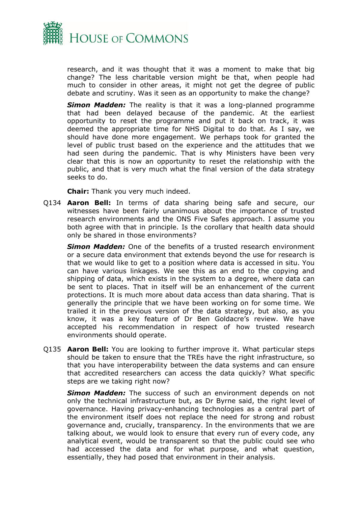

research, and it was thought that it was a moment to make that big change? The less charitable version might be that, when people had much to consider in other areas, it might not get the degree of public debate and scrutiny. Was it seen as an opportunity to make the change?

*Simon Madden:* The reality is that it was a long-planned programme that had been delayed because of the pandemic. At the earliest opportunity to reset the programme and put it back on track, it was deemed the appropriate time for NHS Digital to do that. As I say, we should have done more engagement. We perhaps took for granted the level of public trust based on the experience and the attitudes that we had seen during the pandemic. That is why Ministers have been very clear that this is now an opportunity to reset the relationship with the public, and that is very much what the final version of the data strategy seeks to do.

**Chair:** Thank you very much indeed.

Q134 **Aaron Bell:** In terms of data sharing being safe and secure, our witnesses have been fairly unanimous about the importance of trusted research environments and the ONS Five Safes approach. I assume you both agree with that in principle. Is the corollary that health data should only be shared in those environments?

*Simon Madden:* One of the benefits of a trusted research environment or a secure data environment that extends beyond the use for research is that we would like to get to a position where data is accessed in situ. You can have various linkages. We see this as an end to the copying and shipping of data, which exists in the system to a degree, where data can be sent to places. That in itself will be an enhancement of the current protections. It is much more about data access than data sharing. That is generally the principle that we have been working on for some time. We trailed it in the previous version of the data strategy, but also, as you know, it was a key feature of Dr Ben Goldacre's review. We have accepted his recommendation in respect of how trusted research environments should operate.

Q135 **Aaron Bell:** You are looking to further improve it. What particular steps should be taken to ensure that the TREs have the right infrastructure, so that you have interoperability between the data systems and can ensure that accredited researchers can access the data quickly? What specific steps are we taking right now?

*Simon Madden:* The success of such an environment depends on not only the technical infrastructure but, as Dr Byrne said, the right level of governance. Having privacy-enhancing technologies as a central part of the environment itself does not replace the need for strong and robust governance and, crucially, transparency. In the environments that we are talking about, we would look to ensure that every run of every code, any analytical event, would be transparent so that the public could see who had accessed the data and for what purpose, and what question, essentially, they had posed that environment in their analysis.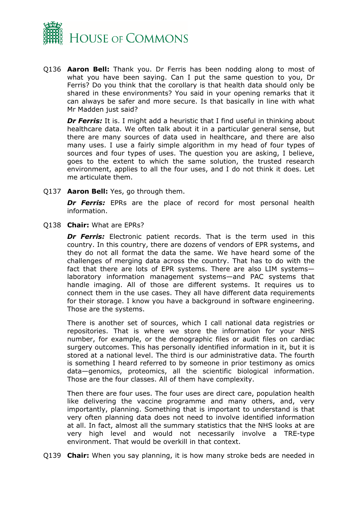

Q136 **Aaron Bell:** Thank you. Dr Ferris has been nodding along to most of what you have been saying. Can I put the same question to you, Dr Ferris? Do you think that the corollary is that health data should only be shared in these environments? You said in your opening remarks that it can always be safer and more secure. Is that basically in line with what Mr Madden just said?

**Dr Ferris:** It is. I might add a heuristic that I find useful in thinking about healthcare data. We often talk about it in a particular general sense, but there are many sources of data used in healthcare, and there are also many uses. I use a fairly simple algorithm in my head of four types of sources and four types of uses. The question you are asking, I believe, goes to the extent to which the same solution, the trusted research environment, applies to all the four uses, and I do not think it does. Let me articulate them.

Q137 **Aaron Bell:** Yes, go through them.

**Dr Ferris:** EPRs are the place of record for most personal health information.

Q138 **Chair:** What are EPRs?

*Dr Ferris:* Electronic patient records. That is the term used in this country. In this country, there are dozens of vendors of EPR systems, and they do not all format the data the same. We have heard some of the challenges of merging data across the country. That has to do with the fact that there are lots of EPR systems. There are also LIM systems laboratory information management systems—and PAC systems that handle imaging. All of those are different systems. It requires us to connect them in the use cases. They all have different data requirements for their storage. I know you have a background in software engineering. Those are the systems.

There is another set of sources, which I call national data registries or repositories. That is where we store the information for your NHS number, for example, or the demographic files or audit files on cardiac surgery outcomes. This has personally identified information in it, but it is stored at a national level. The third is our administrative data. The fourth is something I heard referred to by someone in prior testimony as omics data—genomics, proteomics, all the scientific biological information. Those are the four classes. All of them have complexity.

Then there are four uses. The four uses are direct care, population health like delivering the vaccine programme and many others, and, very importantly, planning. Something that is important to understand is that very often planning data does not need to involve identified information at all. In fact, almost all the summary statistics that the NHS looks at are very high level and would not necessarily involve a TRE-type environment. That would be overkill in that context.

Q139 **Chair:** When you say planning, it is how many stroke beds are needed in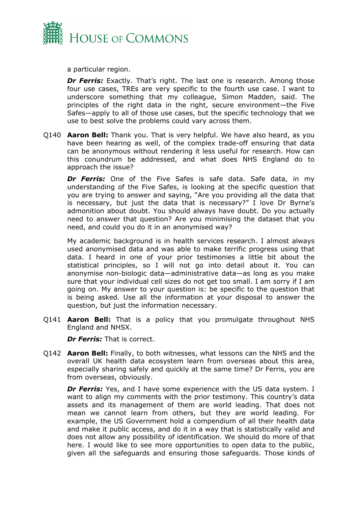

a particular region.

**Dr Ferris:** Exactly. That's right. The last one is research. Among those four use cases, TREs are very specific to the fourth use case. I want to underscore something that my colleague, Simon Madden, said. The principles of the right data in the right, secure environment—the Five Safes—apply to all of those use cases, but the specific technology that we use to best solve the problems could vary across them.

Q140 **Aaron Bell:** Thank you. That is very helpful. We have also heard, as you have been hearing as well, of the complex trade-off ensuring that data can be anonymous without rendering it less useful for research. How can this conundrum be addressed, and what does NHS England do to approach the issue?

**Dr Ferris:** One of the Five Safes is safe data. Safe data, in my understanding of the Five Safes, is looking at the specific question that you are trying to answer and saying, "Are you providing all the data that is necessary, but just the data that is necessary?" I love Dr Byrne's admonition about doubt. You should always have doubt. Do you actually need to answer that question? Are you minimising the dataset that you need, and could you do it in an anonymised way?

My academic background is in health services research. I almost always used anonymised data and was able to make terrific progress using that data. I heard in one of your prior testimonies a little bit about the statistical principles, so I will not go into detail about it. You can anonymise non-biologic data—administrative data—as long as you make sure that your individual cell sizes do not get too small. I am sorry if I am going on. My answer to your question is: be specific to the question that is being asked. Use all the information at your disposal to answer the question, but just the information necessary.

Q141 **Aaron Bell:** That is a policy that you promulgate throughout NHS England and NHSX.

*Dr Ferris:* That is correct.

Q142 **Aaron Bell:** Finally, to both witnesses, what lessons can the NHS and the overall UK health data ecosystem learn from overseas about this area, especially sharing safely and quickly at the same time? Dr Ferris, you are from overseas, obviously.

**Dr Ferris:** Yes, and I have some experience with the US data system. I want to align my comments with the prior testimony. This country's data assets and its management of them are world leading. That does not mean we cannot learn from others, but they are world leading. For example, the US Government hold a compendium of all their health data and make it public access, and do it in a way that is statistically valid and does not allow any possibility of identification. We should do more of that here. I would like to see more opportunities to open data to the public, given all the safeguards and ensuring those safeguards. Those kinds of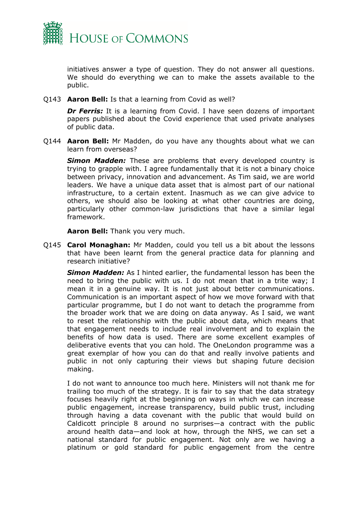

initiatives answer a type of question. They do not answer all questions. We should do everything we can to make the assets available to the public.

Q143 **Aaron Bell:** Is that a learning from Covid as well?

*Dr Ferris:* It is a learning from Covid. I have seen dozens of important papers published about the Covid experience that used private analyses of public data.

Q144 **Aaron Bell:** Mr Madden, do you have any thoughts about what we can learn from overseas?

**Simon Madden:** These are problems that every developed country is trying to grapple with. I agree fundamentally that it is not a binary choice between privacy, innovation and advancement. As Tim said, we are world leaders. We have a unique data asset that is almost part of our national infrastructure, to a certain extent. Inasmuch as we can give advice to others, we should also be looking at what other countries are doing, particularly other common-law jurisdictions that have a similar legal framework.

**Aaron Bell:** Thank you very much.

Q145 **Carol Monaghan:** Mr Madden, could you tell us a bit about the lessons that have been learnt from the general practice data for planning and research initiative?

*Simon Madden:* As I hinted earlier, the fundamental lesson has been the need to bring the public with us. I do not mean that in a trite way; I mean it in a genuine way. It is not just about better communications. Communication is an important aspect of how we move forward with that particular programme, but I do not want to detach the programme from the broader work that we are doing on data anyway. As I said, we want to reset the relationship with the public about data, which means that that engagement needs to include real involvement and to explain the benefits of how data is used. There are some excellent examples of deliberative events that you can hold. The OneLondon programme was a great exemplar of how you can do that and really involve patients and public in not only capturing their views but shaping future decision making.

I do not want to announce too much here. Ministers will not thank me for trailing too much of the strategy. It is fair to say that the data strategy focuses heavily right at the beginning on ways in which we can increase public engagement, increase transparency, build public trust, including through having a data covenant with the public that would build on Caldicott principle 8 around no surprises—a contract with the public around health data—and look at how, through the NHS, we can set a national standard for public engagement. Not only are we having a platinum or gold standard for public engagement from the centre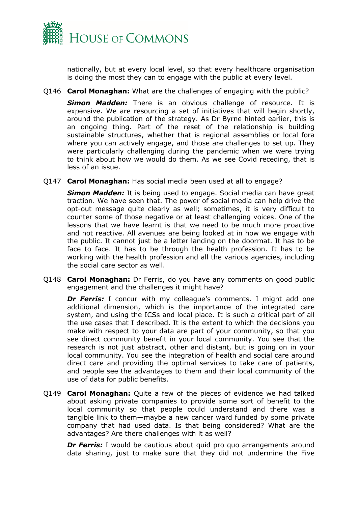

nationally, but at every local level, so that every healthcare organisation is doing the most they can to engage with the public at every level.

Q146 **Carol Monaghan:** What are the challenges of engaging with the public?

*Simon Madden:* There is an obvious challenge of resource. It is expensive. We are resourcing a set of initiatives that will begin shortly, around the publication of the strategy. As Dr Byrne hinted earlier, this is an ongoing thing. Part of the reset of the relationship is building sustainable structures, whether that is regional assemblies or local fora where you can actively engage, and those are challenges to set up. They were particularly challenging during the pandemic when we were trying to think about how we would do them. As we see Covid receding, that is less of an issue.

Q147 **Carol Monaghan:** Has social media been used at all to engage?

*Simon Madden:* It is being used to engage. Social media can have great traction. We have seen that. The power of social media can help drive the opt-out message quite clearly as well; sometimes, it is very difficult to counter some of those negative or at least challenging voices. One of the lessons that we have learnt is that we need to be much more proactive and not reactive. All avenues are being looked at in how we engage with the public. It cannot just be a letter landing on the doormat. It has to be face to face. It has to be through the health profession. It has to be working with the health profession and all the various agencies, including the social care sector as well.

Q148 **Carol Monaghan:** Dr Ferris, do you have any comments on good public engagement and the challenges it might have?

**Dr Ferris:** I concur with my colleague's comments. I might add one additional dimension, which is the importance of the integrated care system, and using the ICSs and local place. It is such a critical part of all the use cases that I described. It is the extent to which the decisions you make with respect to your data are part of your community, so that you see direct community benefit in your local community. You see that the research is not just abstract, other and distant, but is going on in your local community. You see the integration of health and social care around direct care and providing the optimal services to take care of patients, and people see the advantages to them and their local community of the use of data for public benefits.

Q149 **Carol Monaghan:** Quite a few of the pieces of evidence we had talked about asking private companies to provide some sort of benefit to the local community so that people could understand and there was a tangible link to them—maybe a new cancer ward funded by some private company that had used data. Is that being considered? What are the advantages? Are there challenges with it as well?

*Dr Ferris:* I would be cautious about quid pro quo arrangements around data sharing, just to make sure that they did not undermine the Five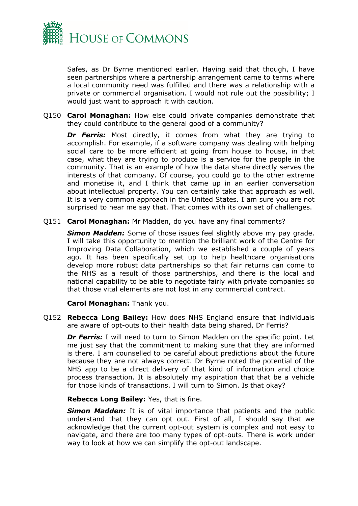

Safes, as Dr Byrne mentioned earlier. Having said that though, I have seen partnerships where a partnership arrangement came to terms where a local community need was fulfilled and there was a relationship with a private or commercial organisation. I would not rule out the possibility; I would just want to approach it with caution.

Q150 **Carol Monaghan:** How else could private companies demonstrate that they could contribute to the general good of a community?

**Dr Ferris:** Most directly, it comes from what they are trying to accomplish. For example, if a software company was dealing with helping social care to be more efficient at going from house to house, in that case, what they are trying to produce is a service for the people in the community. That is an example of how the data share directly serves the interests of that company. Of course, you could go to the other extreme and monetise it, and I think that came up in an earlier conversation about intellectual property. You can certainly take that approach as well. It is a very common approach in the United States. I am sure you are not surprised to hear me say that. That comes with its own set of challenges.

Q151 **Carol Monaghan:** Mr Madden, do you have any final comments?

**Simon Madden:** Some of those issues feel slightly above my pay grade. I will take this opportunity to mention the brilliant work of the Centre for Improving Data Collaboration, which we established a couple of years ago. It has been specifically set up to help healthcare organisations develop more robust data partnerships so that fair returns can come to the NHS as a result of those partnerships, and there is the local and national capability to be able to negotiate fairly with private companies so that those vital elements are not lost in any commercial contract.

**Carol Monaghan:** Thank you.

Q152 **Rebecca Long Bailey:** How does NHS England ensure that individuals are aware of opt-outs to their health data being shared, Dr Ferris?

**Dr Ferris:** I will need to turn to Simon Madden on the specific point. Let me just say that the commitment to making sure that they are informed is there. I am counselled to be careful about predictions about the future because they are not always correct. Dr Byrne noted the potential of the NHS app to be a direct delivery of that kind of information and choice process transaction. It is absolutely my aspiration that that be a vehicle for those kinds of transactions. I will turn to Simon. Is that okay?

#### **Rebecca Long Bailey:** Yes, that is fine.

*Simon Madden:* It is of vital importance that patients and the public understand that they can opt out. First of all, I should say that we acknowledge that the current opt-out system is complex and not easy to navigate, and there are too many types of opt-outs. There is work under way to look at how we can simplify the opt-out landscape.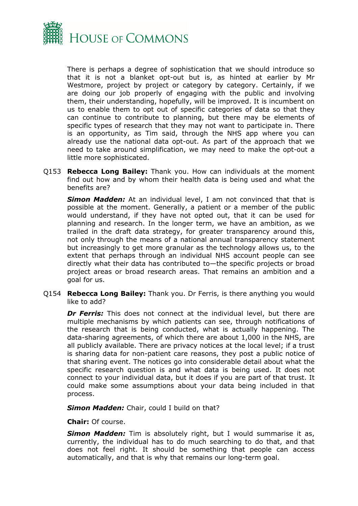

There is perhaps a degree of sophistication that we should introduce so that it is not a blanket opt-out but is, as hinted at earlier by Mr Westmore, project by project or category by category. Certainly, if we are doing our job properly of engaging with the public and involving them, their understanding, hopefully, will be improved. It is incumbent on us to enable them to opt out of specific categories of data so that they can continue to contribute to planning, but there may be elements of specific types of research that they may not want to participate in. There is an opportunity, as Tim said, through the NHS app where you can already use the national data opt-out. As part of the approach that we need to take around simplification, we may need to make the opt-out a little more sophisticated.

Q153 **Rebecca Long Bailey:** Thank you. How can individuals at the moment find out how and by whom their health data is being used and what the benefits are?

*Simon Madden:* At an individual level, I am not convinced that that is possible at the moment. Generally, a patient or a member of the public would understand, if they have not opted out, that it can be used for planning and research. In the longer term, we have an ambition, as we trailed in the draft data strategy, for greater transparency around this, not only through the means of a national annual transparency statement but increasingly to get more granular as the technology allows us, to the extent that perhaps through an individual NHS account people can see directly what their data has contributed to—the specific projects or broad project areas or broad research areas. That remains an ambition and a goal for us.

Q154 **Rebecca Long Bailey:** Thank you. Dr Ferris, is there anything you would like to add?

*Dr Ferris:* This does not connect at the individual level, but there are multiple mechanisms by which patients can see, through notifications of the research that is being conducted, what is actually happening. The data-sharing agreements, of which there are about 1,000 in the NHS, are all publicly available. There are privacy notices at the local level; if a trust is sharing data for non-patient care reasons, they post a public notice of that sharing event. The notices go into considerable detail about what the specific research question is and what data is being used. It does not connect to your individual data, but it does if you are part of that trust. It could make some assumptions about your data being included in that process.

*Simon Madden:* Chair, could I build on that?

**Chair:** Of course.

*Simon Madden:* Tim is absolutely right, but I would summarise it as, currently, the individual has to do much searching to do that, and that does not feel right. It should be something that people can access automatically, and that is why that remains our long-term goal.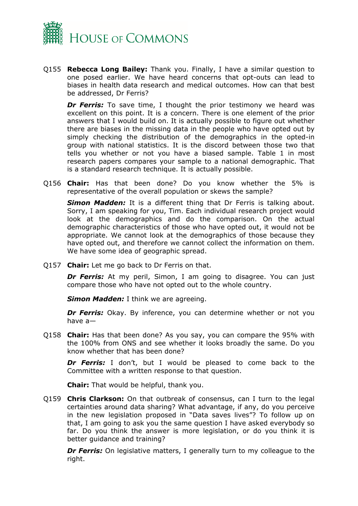

Q155 **Rebecca Long Bailey:** Thank you. Finally, I have a similar question to one posed earlier. We have heard concerns that opt-outs can lead to biases in health data research and medical outcomes. How can that best be addressed, Dr Ferris?

**Dr Ferris:** To save time, I thought the prior testimony we heard was excellent on this point. It is a concern. There is one element of the prior answers that I would build on. It is actually possible to figure out whether there are biases in the missing data in the people who have opted out by simply checking the distribution of the demographics in the opted-in group with national statistics. It is the discord between those two that tells you whether or not you have a biased sample. Table 1 in most research papers compares your sample to a national demographic. That is a standard research technique. It is actually possible.

Q156 **Chair:** Has that been done? Do you know whether the 5% is representative of the overall population or skews the sample?

**Simon Madden:** It is a different thing that Dr Ferris is talking about. Sorry, I am speaking for you, Tim. Each individual research project would look at the demographics and do the comparison. On the actual demographic characteristics of those who have opted out, it would not be appropriate. We cannot look at the demographics of those because they have opted out, and therefore we cannot collect the information on them. We have some idea of geographic spread.

Q157 **Chair:** Let me go back to Dr Ferris on that.

**Dr Ferris:** At my peril, Simon, I am going to disagree. You can just compare those who have not opted out to the whole country.

*Simon Madden:* I think we are agreeing.

**Dr Ferris:** Okay. By inference, you can determine whether or not you have a—

Q158 **Chair:** Has that been done? As you say, you can compare the 95% with the 100% from ONS and see whether it looks broadly the same. Do you know whether that has been done?

*Dr Ferris:* I don't, but I would be pleased to come back to the Committee with a written response to that question.

**Chair:** That would be helpful, thank you.

Q159 **Chris Clarkson:** On that outbreak of consensus, can I turn to the legal certainties around data sharing? What advantage, if any, do you perceive in the new legislation proposed in "Data saves lives"? To follow up on that, I am going to ask you the same question I have asked everybody so far. Do you think the answer is more legislation, or do you think it is better guidance and training?

*Dr Ferris:* On legislative matters, I generally turn to my colleague to the right.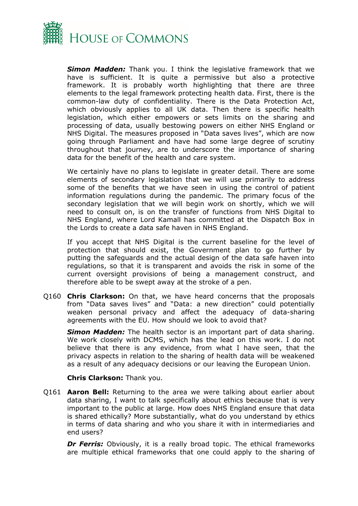

*Simon Madden:* Thank you. I think the legislative framework that we have is sufficient. It is quite a permissive but also a protective framework. It is probably worth highlighting that there are three elements to the legal framework protecting health data. First, there is the common-law duty of confidentiality. There is the Data Protection Act, which obviously applies to all UK data. Then there is specific health legislation, which either empowers or sets limits on the sharing and processing of data, usually bestowing powers on either NHS England or NHS Digital. The measures proposed in "Data saves lives", which are now going through Parliament and have had some large degree of scrutiny throughout that journey, are to underscore the importance of sharing data for the benefit of the health and care system.

We certainly have no plans to legislate in greater detail. There are some elements of secondary legislation that we will use primarily to address some of the benefits that we have seen in using the control of patient information regulations during the pandemic. The primary focus of the secondary legislation that we will begin work on shortly, which we will need to consult on, is on the transfer of functions from NHS Digital to NHS England, where Lord Kamall has committed at the Dispatch Box in the Lords to create a data safe haven in NHS England.

If you accept that NHS Digital is the current baseline for the level of protection that should exist, the Government plan to go further by putting the safeguards and the actual design of the data safe haven into regulations, so that it is transparent and avoids the risk in some of the current oversight provisions of being a management construct, and therefore able to be swept away at the stroke of a pen.

Q160 **Chris Clarkson:** On that, we have heard concerns that the proposals from "Data saves lives" and "Data: a new direction" could potentially weaken personal privacy and affect the adequacy of data-sharing agreements with the EU. How should we look to avoid that?

*Simon Madden:* The health sector is an important part of data sharing. We work closely with DCMS, which has the lead on this work. I do not believe that there is any evidence, from what I have seen, that the privacy aspects in relation to the sharing of health data will be weakened as a result of any adequacy decisions or our leaving the European Union.

## **Chris Clarkson:** Thank you.

Q161 **Aaron Bell:** Returning to the area we were talking about earlier about data sharing, I want to talk specifically about ethics because that is very important to the public at large. How does NHS England ensure that data is shared ethically? More substantially, what do you understand by ethics in terms of data sharing and who you share it with in intermediaries and end users?

**Dr Ferris:** Obviously, it is a really broad topic. The ethical frameworks are multiple ethical frameworks that one could apply to the sharing of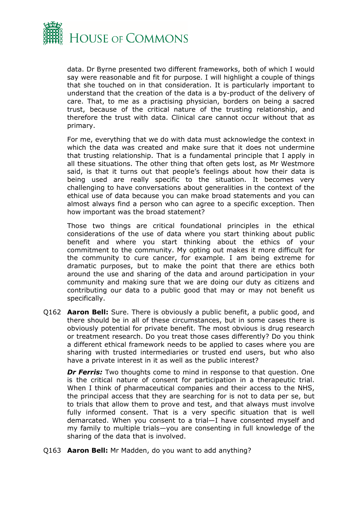

data. Dr Byrne presented two different frameworks, both of which I would say were reasonable and fit for purpose. I will highlight a couple of things that she touched on in that consideration. It is particularly important to understand that the creation of the data is a by-product of the delivery of care. That, to me as a practising physician, borders on being a sacred trust, because of the critical nature of the trusting relationship, and therefore the trust with data. Clinical care cannot occur without that as primary.

For me, everything that we do with data must acknowledge the context in which the data was created and make sure that it does not undermine that trusting relationship. That is a fundamental principle that I apply in all these situations. The other thing that often gets lost, as Mr Westmore said, is that it turns out that people's feelings about how their data is being used are really specific to the situation. It becomes very challenging to have conversations about generalities in the context of the ethical use of data because you can make broad statements and you can almost always find a person who can agree to a specific exception. Then how important was the broad statement?

Those two things are critical foundational principles in the ethical considerations of the use of data where you start thinking about public benefit and where you start thinking about the ethics of your commitment to the community. My opting out makes it more difficult for the community to cure cancer, for example. I am being extreme for dramatic purposes, but to make the point that there are ethics both around the use and sharing of the data and around participation in your community and making sure that we are doing our duty as citizens and contributing our data to a public good that may or may not benefit us specifically.

Q162 **Aaron Bell:** Sure. There is obviously a public benefit, a public good, and there should be in all of these circumstances, but in some cases there is obviously potential for private benefit. The most obvious is drug research or treatment research. Do you treat those cases differently? Do you think a different ethical framework needs to be applied to cases where you are sharing with trusted intermediaries or trusted end users, but who also have a private interest in it as well as the public interest?

*Dr Ferris:* Two thoughts come to mind in response to that question. One is the critical nature of consent for participation in a therapeutic trial. When I think of pharmaceutical companies and their access to the NHS, the principal access that they are searching for is not to data per se, but to trials that allow them to prove and test, and that always must involve fully informed consent. That is a very specific situation that is well demarcated. When you consent to a trial—I have consented myself and my family to multiple trials—you are consenting in full knowledge of the sharing of the data that is involved.

Q163 **Aaron Bell:** Mr Madden, do you want to add anything?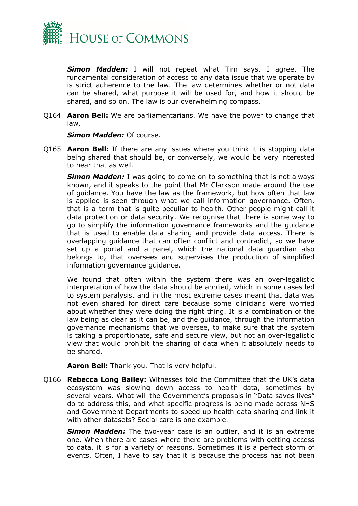

*Simon Madden:* I will not repeat what Tim says. I agree. The fundamental consideration of access to any data issue that we operate by is strict adherence to the law. The law determines whether or not data can be shared, what purpose it will be used for, and how it should be shared, and so on. The law is our overwhelming compass.

Q164 **Aaron Bell:** We are parliamentarians. We have the power to change that law.

#### *Simon Madden:* Of course.

Q165 **Aaron Bell:** If there are any issues where you think it is stopping data being shared that should be, or conversely, we would be very interested to hear that as well.

*Simon Madden:* I was going to come on to something that is not always known, and it speaks to the point that Mr Clarkson made around the use of guidance. You have the law as the framework, but how often that law is applied is seen through what we call information governance. Often, that is a term that is quite peculiar to health. Other people might call it data protection or data security. We recognise that there is some way to go to simplify the information governance frameworks and the guidance that is used to enable data sharing and provide data access. There is overlapping guidance that can often conflict and contradict, so we have set up a portal and a panel, which the national data guardian also belongs to, that oversees and supervises the production of simplified information governance guidance.

We found that often within the system there was an over-legalistic interpretation of how the data should be applied, which in some cases led to system paralysis, and in the most extreme cases meant that data was not even shared for direct care because some clinicians were worried about whether they were doing the right thing. It is a combination of the law being as clear as it can be, and the guidance, through the information governance mechanisms that we oversee, to make sure that the system is taking a proportionate, safe and secure view, but not an over-legalistic view that would prohibit the sharing of data when it absolutely needs to be shared.

**Aaron Bell:** Thank you. That is very helpful.

Q166 **Rebecca Long Bailey:** Witnesses told the Committee that the UK's data ecosystem was slowing down access to health data, sometimes by several years. What will the Government's proposals in "Data saves lives" do to address this, and what specific progress is being made across NHS and Government Departments to speed up health data sharing and link it with other datasets? Social care is one example.

*Simon Madden:* The two-year case is an outlier, and it is an extreme one. When there are cases where there are problems with getting access to data, it is for a variety of reasons. Sometimes it is a perfect storm of events. Often, I have to say that it is because the process has not been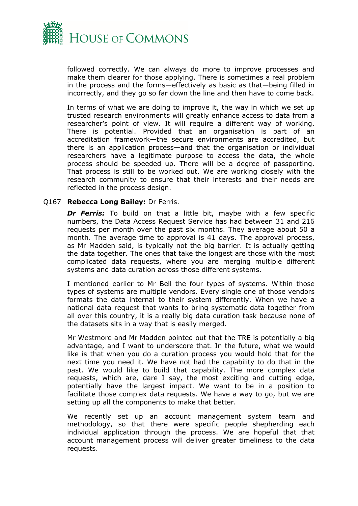

followed correctly. We can always do more to improve processes and make them clearer for those applying. There is sometimes a real problem in the process and the forms—effectively as basic as that—being filled in incorrectly, and they go so far down the line and then have to come back.

In terms of what we are doing to improve it, the way in which we set up trusted research environments will greatly enhance access to data from a researcher's point of view. It will require a different way of working. There is potential. Provided that an organisation is part of an accreditation framework—the secure environments are accredited, but there is an application process—and that the organisation or individual researchers have a legitimate purpose to access the data, the whole process should be speeded up. There will be a degree of passporting. That process is still to be worked out. We are working closely with the research community to ensure that their interests and their needs are reflected in the process design.

## Q167 **Rebecca Long Bailey:** Dr Ferris.

**Dr Ferris:** To build on that a little bit, maybe with a few specific numbers, the Data Access Request Service has had between 31 and 216 requests per month over the past six months. They average about 50 a month. The average time to approval is 41 days. The approval process, as Mr Madden said, is typically not the big barrier. It is actually getting the data together. The ones that take the longest are those with the most complicated data requests, where you are merging multiple different systems and data curation across those different systems.

I mentioned earlier to Mr Bell the four types of systems. Within those types of systems are multiple vendors. Every single one of those vendors formats the data internal to their system differently. When we have a national data request that wants to bring systematic data together from all over this country, it is a really big data curation task because none of the datasets sits in a way that is easily merged.

Mr Westmore and Mr Madden pointed out that the TRE is potentially a big advantage, and I want to underscore that. In the future, what we would like is that when you do a curation process you would hold that for the next time you need it. We have not had the capability to do that in the past. We would like to build that capability. The more complex data requests, which are, dare I say, the most exciting and cutting edge, potentially have the largest impact. We want to be in a position to facilitate those complex data requests. We have a way to go, but we are setting up all the components to make that better.

We recently set up an account management system team and methodology, so that there were specific people shepherding each individual application through the process. We are hopeful that that account management process will deliver greater timeliness to the data requests.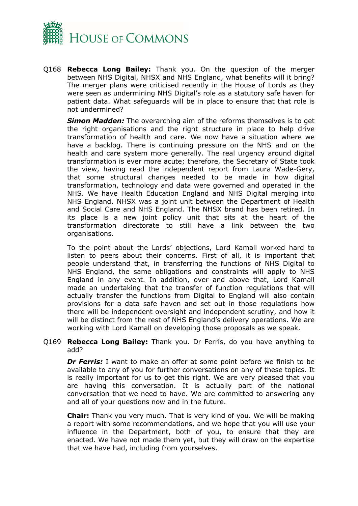

Q168 **Rebecca Long Bailey:** Thank you. On the question of the merger between NHS Digital, NHSX and NHS England, what benefits will it bring? The merger plans were criticised recently in the House of Lords as they were seen as undermining NHS Digital's role as a statutory safe haven for patient data. What safeguards will be in place to ensure that that role is not undermined?

*Simon Madden:* The overarching aim of the reforms themselves is to get the right organisations and the right structure in place to help drive transformation of health and care. We now have a situation where we have a backlog. There is continuing pressure on the NHS and on the health and care system more generally. The real urgency around digital transformation is ever more acute; therefore, the Secretary of State took the view, having read the independent report from Laura Wade-Gery, that some structural changes needed to be made in how digital transformation, technology and data were governed and operated in the NHS. We have Health Education England and NHS Digital merging into NHS England. NHSX was a joint unit between the Department of Health and Social Care and NHS England. The NHSX brand has been retired. In its place is a new joint policy unit that sits at the heart of the transformation directorate to still have a link between the two organisations.

To the point about the Lords' objections, Lord Kamall worked hard to listen to peers about their concerns. First of all, it is important that people understand that, in transferring the functions of NHS Digital to NHS England, the same obligations and constraints will apply to NHS England in any event. In addition, over and above that, Lord Kamall made an undertaking that the transfer of function regulations that will actually transfer the functions from Digital to England will also contain provisions for a data safe haven and set out in those regulations how there will be independent oversight and independent scrutiny, and how it will be distinct from the rest of NHS England's delivery operations. We are working with Lord Kamall on developing those proposals as we speak.

## Q169 **Rebecca Long Bailey:** Thank you. Dr Ferris, do you have anything to add?

*Dr Ferris:* I want to make an offer at some point before we finish to be available to any of you for further conversations on any of these topics. It is really important for us to get this right. We are very pleased that you are having this conversation. It is actually part of the national conversation that we need to have. We are committed to answering any and all of your questions now and in the future.

**Chair:** Thank you very much. That is very kind of you. We will be making a report with some recommendations, and we hope that you will use your influence in the Department, both of you, to ensure that they are enacted. We have not made them yet, but they will draw on the expertise that we have had, including from yourselves.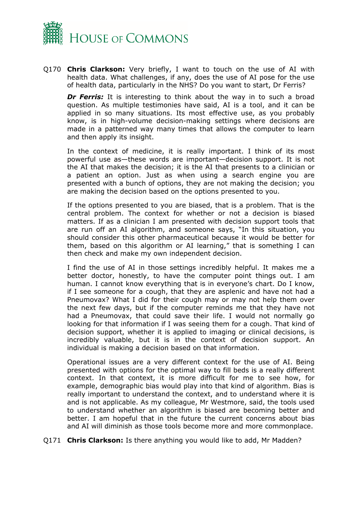

Q170 **Chris Clarkson:** Very briefly, I want to touch on the use of AI with health data. What challenges, if any, does the use of AI pose for the use of health data, particularly in the NHS? Do you want to start, Dr Ferris?

**Dr Ferris:** It is interesting to think about the way in to such a broad question. As multiple testimonies have said, AI is a tool, and it can be applied in so many situations. Its most effective use, as you probably know, is in high-volume decision-making settings where decisions are made in a patterned way many times that allows the computer to learn and then apply its insight.

In the context of medicine, it is really important. I think of its most powerful use as—these words are important—decision support. It is not the AI that makes the decision; it is the AI that presents to a clinician or a patient an option. Just as when using a search engine you are presented with a bunch of options, they are not making the decision; you are making the decision based on the options presented to you.

If the options presented to you are biased, that is a problem. That is the central problem. The context for whether or not a decision is biased matters. If as a clinician I am presented with decision support tools that are run off an AI algorithm, and someone says, "In this situation, you should consider this other pharmaceutical because it would be better for them, based on this algorithm or AI learning," that is something I can then check and make my own independent decision.

I find the use of AI in those settings incredibly helpful. It makes me a better doctor, honestly, to have the computer point things out. I am human. I cannot know everything that is in everyone's chart. Do I know, if I see someone for a cough, that they are asplenic and have not had a Pneumovax? What I did for their cough may or may not help them over the next few days, but if the computer reminds me that they have not had a Pneumovax, that could save their life. I would not normally go looking for that information if I was seeing them for a cough. That kind of decision support, whether it is applied to imaging or clinical decisions, is incredibly valuable, but it is in the context of decision support. An individual is making a decision based on that information.

Operational issues are a very different context for the use of AI. Being presented with options for the optimal way to fill beds is a really different context. In that context, it is more difficult for me to see how, for example, demographic bias would play into that kind of algorithm. Bias is really important to understand the context, and to understand where it is and is not applicable. As my colleague, Mr Westmore, said, the tools used to understand whether an algorithm is biased are becoming better and better. I am hopeful that in the future the current concerns about bias and AI will diminish as those tools become more and more commonplace.

Q171 **Chris Clarkson:** Is there anything you would like to add, Mr Madden?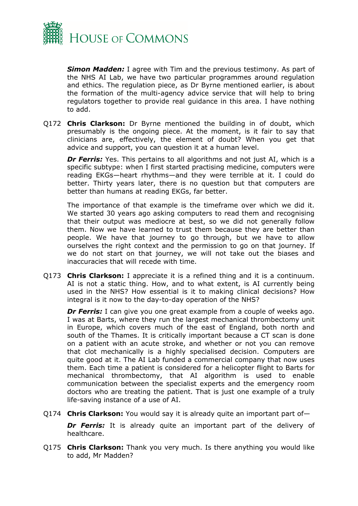

*Simon Madden:* I agree with Tim and the previous testimony. As part of the NHS AI Lab, we have two particular programmes around regulation and ethics. The regulation piece, as Dr Byrne mentioned earlier, is about the formation of the multi-agency advice service that will help to bring regulators together to provide real guidance in this area. I have nothing to add.

Q172 **Chris Clarkson:** Dr Byrne mentioned the building in of doubt, which presumably is the ongoing piece. At the moment, is it fair to say that clinicians are, effectively, the element of doubt? When you get that advice and support, you can question it at a human level.

*Dr Ferris:* Yes. This pertains to all algorithms and not just AI, which is a specific subtype: when I first started practising medicine, computers were reading EKGs—heart rhythms—and they were terrible at it. I could do better. Thirty years later, there is no question but that computers are better than humans at reading EKGs, far better.

The importance of that example is the timeframe over which we did it. We started 30 years ago asking computers to read them and recognising that their output was mediocre at best, so we did not generally follow them. Now we have learned to trust them because they are better than people. We have that journey to go through, but we have to allow ourselves the right context and the permission to go on that journey. If we do not start on that journey, we will not take out the biases and inaccuracies that will recede with time.

Q173 **Chris Clarkson:** I appreciate it is a refined thing and it is a continuum. AI is not a static thing. How, and to what extent, is AI currently being used in the NHS? How essential is it to making clinical decisions? How integral is it now to the day-to-day operation of the NHS?

*Dr Ferris:* I can give you one great example from a couple of weeks ago. I was at Barts, where they run the largest mechanical thrombectomy unit in Europe, which covers much of the east of England, both north and south of the Thames. It is critically important because a CT scan is done on a patient with an acute stroke, and whether or not you can remove that clot mechanically is a highly specialised decision. Computers are quite good at it. The AI Lab funded a commercial company that now uses them. Each time a patient is considered for a helicopter flight to Barts for mechanical thrombectomy, that AI algorithm is used to enable communication between the specialist experts and the emergency room doctors who are treating the patient. That is just one example of a truly life-saving instance of a use of AI.

Q174 **Chris Clarkson:** You would say it is already quite an important part of—

**Dr Ferris:** It is already quite an important part of the delivery of healthcare.

Q175 **Chris Clarkson:** Thank you very much. Is there anything you would like to add, Mr Madden?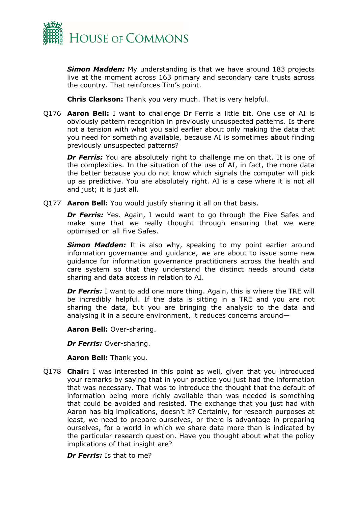

*Simon Madden:* My understanding is that we have around 183 projects live at the moment across 163 primary and secondary care trusts across the country. That reinforces Tim's point.

**Chris Clarkson:** Thank you very much. That is very helpful.

Q176 **Aaron Bell:** I want to challenge Dr Ferris a little bit. One use of AI is obviously pattern recognition in previously unsuspected patterns. Is there not a tension with what you said earlier about only making the data that you need for something available, because AI is sometimes about finding previously unsuspected patterns?

**Dr Ferris:** You are absolutely right to challenge me on that. It is one of the complexities. In the situation of the use of AI, in fact, the more data the better because you do not know which signals the computer will pick up as predictive. You are absolutely right. AI is a case where it is not all and just; it is just all.

Q177 **Aaron Bell:** You would justify sharing it all on that basis.

**Dr Ferris:** Yes. Again, I would want to go through the Five Safes and make sure that we really thought through ensuring that we were optimised on all Five Safes.

**Simon Madden:** It is also why, speaking to my point earlier around information governance and guidance, we are about to issue some new guidance for information governance practitioners across the health and care system so that they understand the distinct needs around data sharing and data access in relation to AI.

**Dr Ferris:** I want to add one more thing. Again, this is where the TRE will be incredibly helpful. If the data is sitting in a TRE and you are not sharing the data, but you are bringing the analysis to the data and analysing it in a secure environment, it reduces concerns around—

**Aaron Bell:** Over-sharing.

*Dr Ferris:* Over-sharing.

**Aaron Bell:** Thank you.

Q178 **Chair:** I was interested in this point as well, given that you introduced your remarks by saying that in your practice you just had the information that was necessary. That was to introduce the thought that the default of information being more richly available than was needed is something that could be avoided and resisted. The exchange that you just had with Aaron has big implications, doesn't it? Certainly, for research purposes at least, we need to prepare ourselves, or there is advantage in preparing ourselves, for a world in which we share data more than is indicated by the particular research question. Have you thought about what the policy implications of that insight are?

*Dr Ferris:* Is that to me?